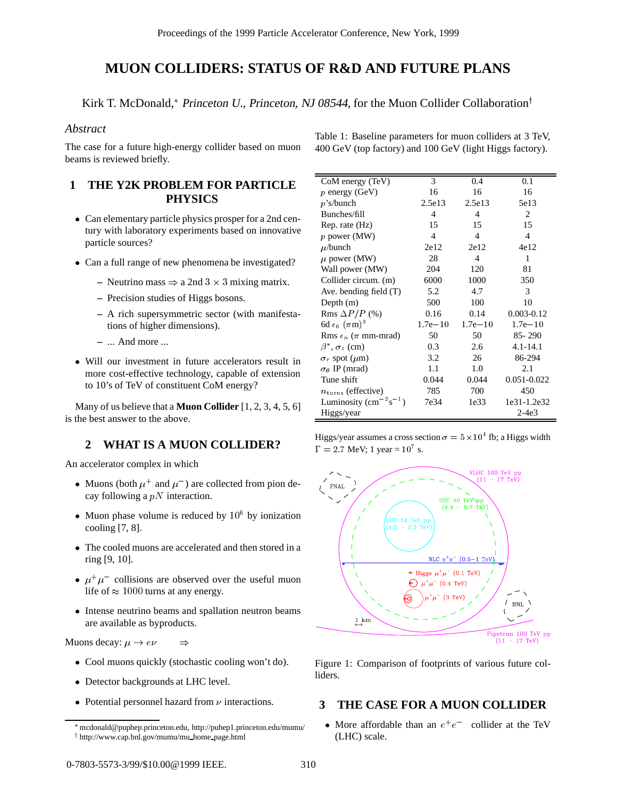# **MUON COLLIDERS: STATUS OF R&D AND FUTURE PLANS**

Kirk T. McDonald,\* Princeton U., Princeton, NJ 08544, for the Muon Collider Collaboration<sup>†</sup>

#### *Abstract*

The case for a future high-energy collider based on muon beams is reviewed briefly.

## **1 THE Y2K PROBLEM FOR PARTICLE PHYSICS**

- Can elementary particle physics prosper for a 2nd century with laboratory experiments based on innovative particle sources?
- Can a full range of new phenomena be investigated?
	- Neutrino mass  $\Rightarrow$  a 2nd 3  $\times$  3 mixing matrix.
	- **–** Precision studies of Higgs bosons.
	- **–** A rich supersymmetric sector (with manifestations of higher dimensions).
	- **–** ... And more ...
- Will our investment in future accelerators result in more cost-effective technology, capable of extension to 10's of TeV of constituent CoM energy?

Many of us believe that a **Muon Collider** [1, 2, 3, 4, 5, 6] is the best answer to the above.

#### **2 WHAT IS A MUON COLLIDER?**

An accelerator complex in which

- Muons (both  $\mu^+$  and  $\mu^-$ ) are collected from pion decay following a  $pN$  interaction.
- Muon phase volume is reduced by  $10^6$  by ionization cooling [7, 8].
- The cooled muons are accelerated and then stored in a ring [9, 10].
- $\bullet$   $\mu^+\mu^-$  collisions are observed over the useful muon life of  $\approx 1000$  turns at any energy.
- Intense neutrino beams and spallation neutron beams are available as byproducts.

Muons decay:  $\mu \to e\nu \implies$ 

- Cool muons quickly (stochastic cooling won't do).
- Detector backgrounds at LHC level.
- Potential personnel hazard from  $\nu$  interactions.

| Table 1: Baseline parameters for muon colliders at 3 TeV, |  |
|-----------------------------------------------------------|--|
| 400 GeV (top factory) and 100 GeV (light Higgs factory).  |  |

| CoM energy (TeV)                                                         | 3              | 0.4            | 0.1            |
|--------------------------------------------------------------------------|----------------|----------------|----------------|
| $p$ energy (GeV)                                                         | 16             | 16             | 16             |
| $p$ 's/bunch                                                             | 2.5e13         | 2.5e13         | 5e13           |
| Bunches/fill                                                             | $\overline{4}$ | $\overline{4}$ | 2              |
| Rep. rate (Hz)                                                           | 15             | 15             | 15             |
| $p$ power (MW)                                                           | $\overline{4}$ | 4              | 4              |
| $\mu$ /bunch                                                             | 2e12           | 2e12           | 4e12           |
| $\mu$ power (MW)                                                         | 28             | $\overline{4}$ | 1              |
| Wall power (MW)                                                          | 204            | 120            | 81             |
| Collider circum. (m)                                                     | 6000           | 1000           | 350            |
| Ave. bending field $(T)$                                                 | 5.2            | 4.7            | 3              |
| Depth $(m)$                                                              | 500            | 100            | 10             |
| Rms $\Delta P/P$ (%)                                                     | 0.16           | 0.14           | $0.003 - 0.12$ |
| 6d $\epsilon_6$ ( $\pi$ m) <sup>3</sup>                                  | $1.7e - 10$    | $1.7e - 10$    | $1.7e - 10$    |
| Rms $\epsilon_n$ ( $\pi$ mm-mrad)                                        | 50             | 50             | $85 - 290$     |
| $\beta^*$ , $\sigma_z$ (cm)                                              | 0.3            | 2.6            | $4.1 - 14.1$   |
| $\sigma_r$ spot ( $\mu$ m)                                               | 3.2            | 26             | 86-294         |
| $\sigma_{\theta}$ IP (mrad)                                              | 1.1            | 1.0            | 2.1            |
| Tune shift                                                               | 0.044          | 0.044          | 0.051-0.022    |
| $n_{\rm turns}$ (effective)                                              | 785            | 700            | 450            |
| Luminosity (cm <sup><math>-2</math></sup> s <sup><math>-1</math></sup> ) | 7e34           | 1e33           | 1e31-1.2e32    |
| Higgs/year                                                               |                |                | $2-4e3$        |

Higgs/year assumes a cross section  $\sigma = 5 \times 10^4$  fb; a Higgs width  $\Gamma = 2.7 \text{ MeV}; 1 \text{ year} = 10^7 \text{ s}.$ 



Figure 1: Comparison of footprints of various future colliders.

### **3 THE CASE FOR A MUON COLLIDER**

• More affordable than an  $e^+e^-$  collider at the TeV (LHC) scale.

mcdonald@puphep.princeton.edu, http://puhep1.princeton.edu/mumu/ <sup>y</sup> http://www.cap.bnl.gov/mumu/mu home page.html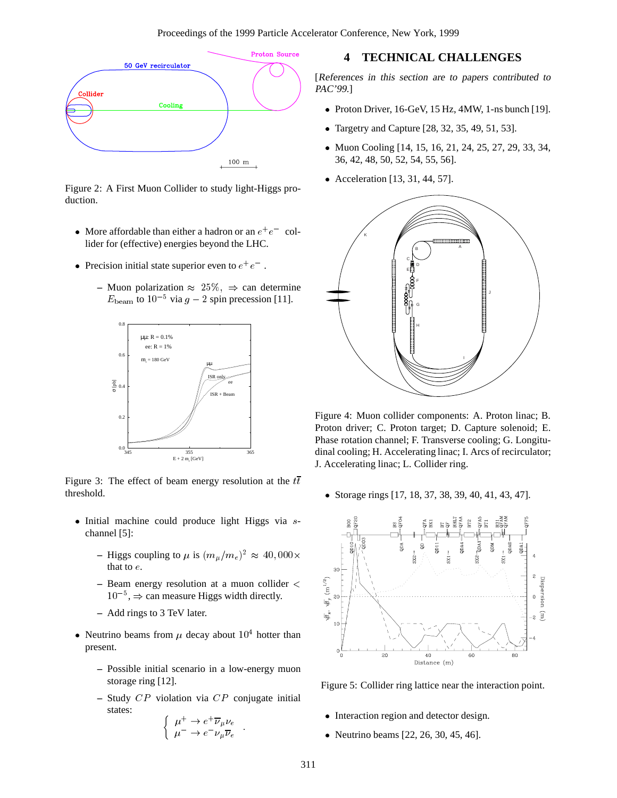

Figure 2: A First Muon Collider to study light-Higgs production.

- More affordable than either a hadron or an  $e^+e^-$  collider for (effective) energies beyond the LHC.
- Precision initial state superior even to  $e^+e^-$ .
	- **–** Muon polarization  $\approx 25\%$ ,  $\Rightarrow$  can determine  $E_{\text{beam}}$  to  $10^{-5}$  via  $g - 2$  spin precession [11].



Figure 3: The effect of beam energy resolution at the  $t\bar{t}$ threshold.

- $\bullet$  Initial machine could produce light Higgs via  $s$ channel [5]:
	- **–** Higgs coupling to  $\mu$  is  $(m_{\mu}/m_e)^2 \approx 40,000 \times$ that to <sup>e</sup>.
	- **–** Beam energy resolution at a muon collider  $\langle \frac{g}{g} \rangle$ <br>10<sup>-5</sup>,  $\Rightarrow$  can measure Higgs width directly.  $10^{-5}$ ,  $\Rightarrow$  can measure Higgs width directly.
	- **–** Add rings to 3 TeV later.
- Neutrino beams from  $\mu$  decay about  $10^4$  hotter than present.
	- **–** Possible initial scenario in a low-energy muon storage ring [12].
	- **–** Study CP violation via CP conjugate initial states:

$$
\begin{cases} \mu^+ \to e^+ \overline{\nu}_{\mu} \nu_e \\ \mu^- \to e^- \nu_{\mu} \overline{\nu}_e \end{cases}.
$$

### **4 TECHNICAL CHALLENGES**

[References in this section are to papers contributed to PAC'99.]

- Proton Driver, 16-GeV, 15 Hz, 4MW, 1-ns bunch [19].
- Targetry and Capture [28, 32, 35, 49, 51, 53].
- Muon Cooling [14, 15, 16, 21, 24, 25, 27, 29, 33, 34, 36, 42, 48, 50, 52, 54, 55, 56].
- Acceleration [13, 31, 44, 57].



Figure 4: Muon collider components: A. Proton linac; B. Proton driver; C. Proton target; D. Capture solenoid; E. Phase rotation channel; F. Transverse cooling; G. Longitudinal cooling; H. Accelerating linac; I. Arcs of recirculator; J. Accelerating linac; L. Collider ring.

• Storage rings [17, 18, 37, 38, 39, 40, 41, 43, 47].



Figure 5: Collider ring lattice near the interaction point.

- Interaction region and detector design.
- Neutrino beams  $[22, 26, 30, 45, 46]$ .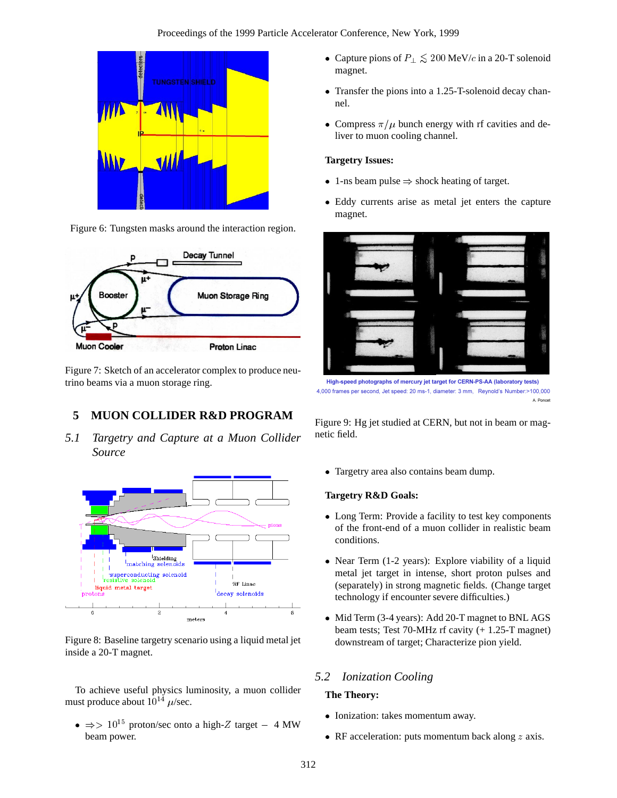

Figure 6: Tungsten masks around the interaction region.



Figure 7: Sketch of an accelerator complex to produce neutrino beams via a muon storage ring.

# **5 MUON COLLIDER R&D PROGRAM**

*5.1 Targetry and Capture at a Muon Collider Source*



Figure 8: Baseline targetry scenario using a liquid metal jet inside a 20-T magnet.

To achieve useful physics luminosity, a muon collider must produce about  $10^{14}$   $\mu$ /sec.

 $\bullet \Rightarrow 10^{15}$  proton/sec onto a high-Z target - 4 MW beam power.

- Capture pions of  $P_{\perp} \lesssim 200 \,\text{MeV}/c$  in a 20-T solenoid magnet.
- Transfer the pions into a 1.25-T-solenoid decay channel.
- Compress  $\pi/\mu$  bunch energy with rf cavities and deliver to muon cooling channel.

#### **Targetry Issues:**

- 1-ns beam pulse  $\Rightarrow$  shock heating of target.
- Eddy currents arise as metal jet enters the capture magnet.



**High-speed photographs of mercury jet target for CERN-PS-AA (laboratory tests)** 4,000 frames per second, Jet speed: 20 ms-1, diameter: 3 mm, Reynold's Number:>100,000 A. Poncet

Figure 9: Hg jet studied at CERN, but not in beam or magnetic field.

Targetry area also contains beam dump.

#### **Targetry R&D Goals:**

- Long Term: Provide a facility to test key components of the front-end of a muon collider in realistic beam conditions.
- Near Term (1-2 years): Explore viability of a liquid metal jet target in intense, short proton pulses and (separately) in strong magnetic fields. (Change target technology if encounter severe difficulties.)
- Mid Term (3-4 years): Add 20-T magnet to BNL AGS beam tests; Test 70-MHz rf cavity (+ 1.25-T magnet) downstream of target; Characterize pion yield.

## *5.2 Ionization Cooling*

#### **The Theory:**

- Ionization: takes momentum away.
- RF acceleration: puts momentum back along  $z$  axis.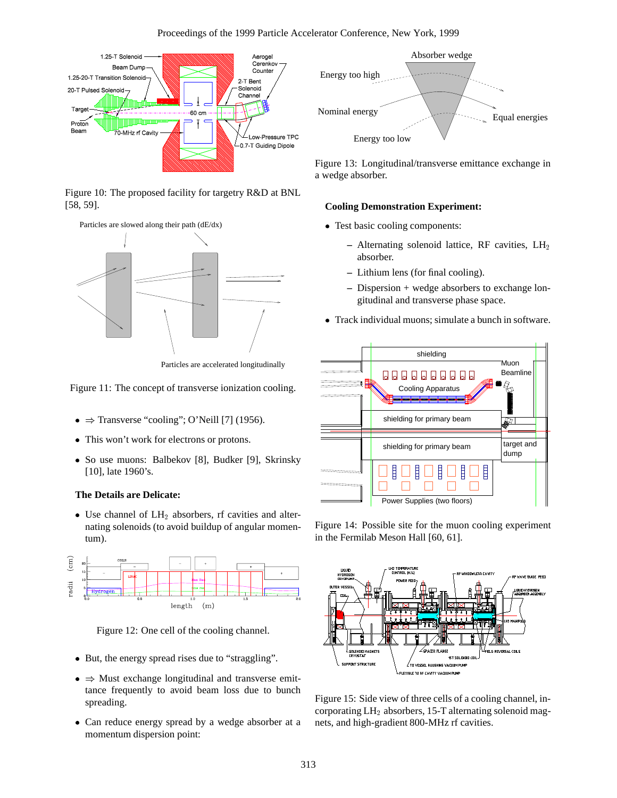

Figure 10: The proposed facility for targetry R&D at BNL [58, 59].





Particles are accelerated longitudinally

Figure 11: The concept of transverse ionization cooling.

- $\bullet \Rightarrow$  Transverse "cooling"; O'Neill [7] (1956).
- This won't work for electrons or protons.
- So use muons: Balbekov [8], Budker [9], Skrinsky [10], late 1960's.

#### **The Details are Delicate:**

 $\bullet$  Use channel of  $LH_2$  absorbers, rf cavities and alternating solenoids (to avoid buildup of angular momentum).



Figure 12: One cell of the cooling channel.

- But, the energy spread rises due to "straggling".
- $\bullet \Rightarrow$  Must exchange longitudinal and transverse emittance frequently to avoid beam loss due to bunch spreading.
- Can reduce energy spread by a wedge absorber at a momentum dispersion point:



Figure 13: Longitudinal/transverse emittance exchange in a wedge absorber.

#### **Cooling Demonstration Experiment:**

- Test basic cooling components:
	- **–** Alternating solenoid lattice, RF cavities, LH<sup>2</sup> absorber.
	- **–** Lithium lens (for final cooling).
	- **–** Dispersion + wedge absorbers to exchange longitudinal and transverse phase space.
- Track individual muons; simulate a bunch in software.



Figure 14: Possible site for the muon cooling experiment in the Fermilab Meson Hall [60, 61].



Figure 15: Side view of three cells of a cooling channel, incorporating  $LH_2$  absorbers, 15-T alternating solenoid magnets, and high-gradient 800-MHz rf cavities.